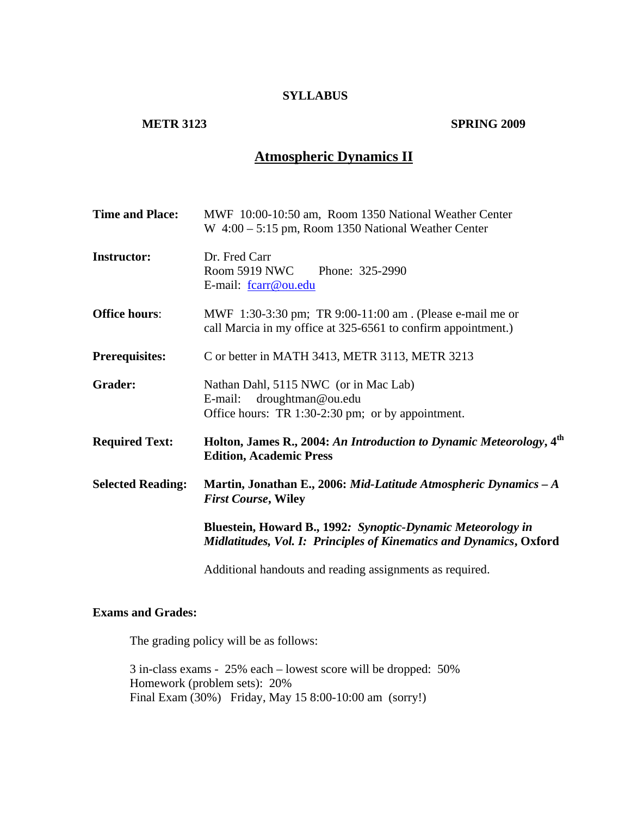#### **SYLLABUS**

### **METR 3123 SPRING 2009**

# **Atmospheric Dynamics II**

| <b>Time and Place:</b>   | MWF 10:00-10:50 am, Room 1350 National Weather Center<br>W 4:00 - 5:15 pm, Room 1350 National Weather Center                       |
|--------------------------|------------------------------------------------------------------------------------------------------------------------------------|
| <b>Instructor:</b>       | Dr. Fred Carr<br><b>Room 5919 NWC</b><br>Phone: 325-2990<br>E-mail: fcarr@ou.edu                                                   |
| <b>Office hours:</b>     | MWF 1:30-3:30 pm; TR 9:00-11:00 am . (Please e-mail me or<br>call Marcia in my office at 325-6561 to confirm appointment.)         |
| <b>Prerequisites:</b>    | C or better in MATH 3413, METR 3113, METR 3213                                                                                     |
| <b>Grader:</b>           | Nathan Dahl, 5115 NWC (or in Mac Lab)<br>droughtman@ou.edu<br>E-mail:<br>Office hours: TR 1:30-2:30 pm; or by appointment.         |
| <b>Required Text:</b>    | Holton, James R., 2004: An Introduction to Dynamic Meteorology, 4 <sup>th</sup><br><b>Edition, Academic Press</b>                  |
| <b>Selected Reading:</b> | Martin, Jonathan E., 2006: Mid-Latitude Atmospheric Dynamics $-A$<br><b>First Course, Wiley</b>                                    |
|                          | Bluestein, Howard B., 1992: Synoptic-Dynamic Meteorology in<br>Midlatitudes, Vol. I: Principles of Kinematics and Dynamics, Oxford |

Additional handouts and reading assignments as required.

# **Exams and Grades:**

The grading policy will be as follows:

3 in-class exams - 25% each – lowest score will be dropped: 50% Homework (problem sets): 20% Final Exam (30%) Friday, May 15 8:00-10:00 am (sorry!)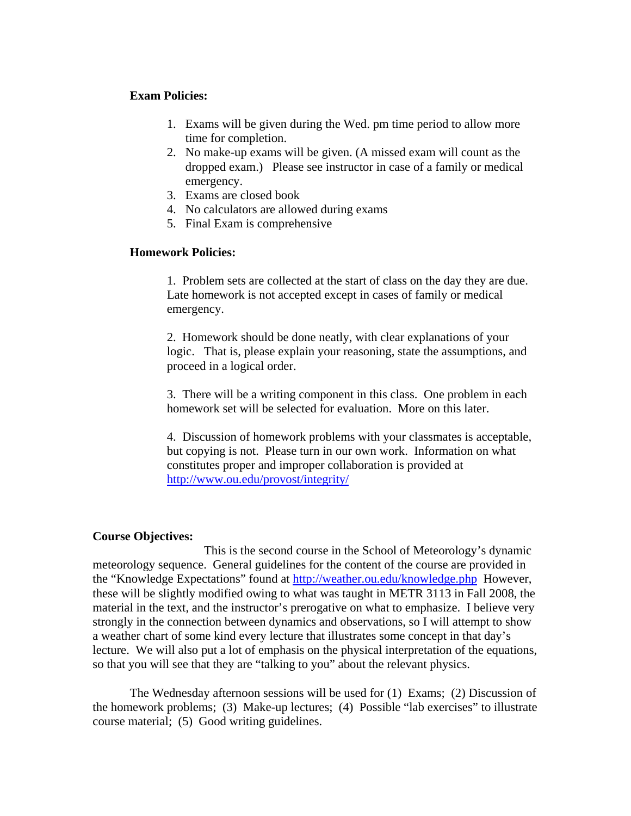### **Exam Policies:**

- 1. Exams will be given during the Wed. pm time period to allow more time for completion.
- 2. No make-up exams will be given. (A missed exam will count as the dropped exam.) Please see instructor in case of a family or medical emergency.
- 3. Exams are closed book
- 4. No calculators are allowed during exams
- 5. Final Exam is comprehensive

## **Homework Policies:**

1. Problem sets are collected at the start of class on the day they are due. Late homework is not accepted except in cases of family or medical emergency.

2. Homework should be done neatly, with clear explanations of your logic. That is, please explain your reasoning, state the assumptions, and proceed in a logical order.

3. There will be a writing component in this class. One problem in each homework set will be selected for evaluation. More on this later.

4. Discussion of homework problems with your classmates is acceptable, but copying is not. Please turn in our own work. Information on what constitutes proper and improper collaboration is provided at http://www.ou.edu/provost/integrity/

#### **Course Objectives:**

 This is the second course in the School of Meteorology's dynamic meteorology sequence. General guidelines for the content of the course are provided in the "Knowledge Expectations" found at http://weather.ou.edu/knowledge.php However, these will be slightly modified owing to what was taught in METR 3113 in Fall 2008, the material in the text, and the instructor's prerogative on what to emphasize. I believe very strongly in the connection between dynamics and observations, so I will attempt to show a weather chart of some kind every lecture that illustrates some concept in that day's lecture. We will also put a lot of emphasis on the physical interpretation of the equations, so that you will see that they are "talking to you" about the relevant physics.

 The Wednesday afternoon sessions will be used for (1) Exams; (2) Discussion of the homework problems; (3) Make-up lectures; (4) Possible "lab exercises" to illustrate course material; (5) Good writing guidelines.